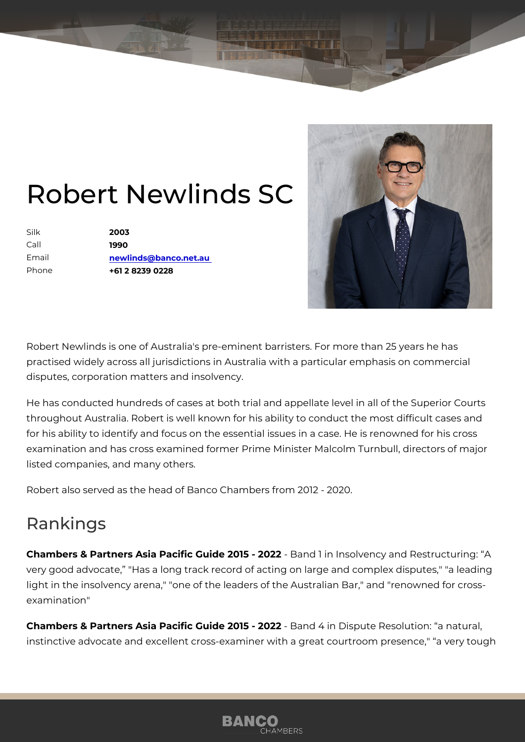## Robert Newlisheds

Silk 2003 Call 1990 Email [newlinds@banco.n](mailto:newlinds@banco.net.au)et.au Phone +61 2 8239 0228

Robert Newlinds is one of Australia's pre-eminent barristers. For more th practised widely across all jurisdictions in Australia with a particular em disputes, corporation matters and insolvency.

He has conducted hundreds of cases at both trial and appellate level in a throughout Australia. Robert is well known for his ability to conduct the for his ability to identify and focus on the essential issues in a case. He examination and has cross examined former Prime Minister Malcolm Turnl listed companies, and many others.

Robert also served as the head of Banco Chambers from 2012 - 2020.

## Rankings

Chambers & Partners Asia Pacific Guide Ba0 \$51-i @ 0 2 20 J vency and Restruc very good advocate, "Has a long track record of acting on large and com light in the insolvency arena," "one of the leaders of the Australian Bar,' examination"

Chambers & Partners Asia Pacific Guide B2a0n1d5 4 i2n0 D2spute Resolution: a instinctive advocate and excellent cross-examiner with a great courtroom